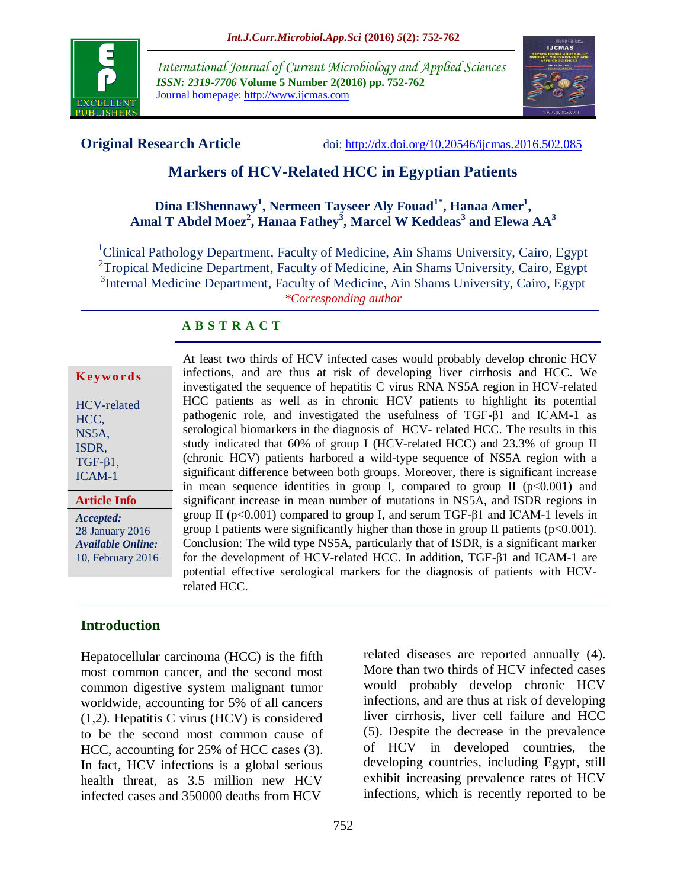

*International Journal of Current Microbiology and Applied Sciences ISSN: 2319-7706* **Volume 5 Number 2(2016) pp. 752-762** Journal homepage: http://www.ijcmas.com



**Original Research Article** doi:<http://dx.doi.org/10.20546/ijcmas.2016.502.085>

# **Markers of HCV-Related HCC in Egyptian Patients**

#### **Dina ElShennawy<sup>1</sup> , Nermeen Tayseer Aly Fouad1\* , Hanaa Amer<sup>1</sup> , Amal T Abdel Moez<sup>2</sup> , Hanaa Fathey<sup>3</sup> , Marcel W Keddeas<sup>3</sup> and Elewa AA<sup>3</sup>**

<sup>1</sup>Clinical Pathology Department, Faculty of Medicine, Ain Shams University, Cairo, Egypt <sup>2</sup>Tropical Medicine Department, Faculty of Medicine, Ain Shams University, Cairo, Egypt <sup>3</sup>Internal Medicine Department, Faculty of Medicine, Ain Shams University, Cairo, Egypt *\*Corresponding author*

#### **A B S T R A C T**

| Keywords |  |  |
|----------|--|--|
|          |  |  |

| HCV-related   |
|---------------|
| HCC,          |
| NS5A,         |
| ISDR,         |
| $TGF-\beta1,$ |
| ICAM-1        |

*Accepted:*  **Article Info**

28 January 2016 *Available Online:* 10, February 2016 At least two thirds of HCV infected cases would probably develop chronic HCV infections, and are thus at risk of developing liver cirrhosis and HCC. We investigated the sequence of hepatitis C virus RNA NS5A region in HCV-related HCC patients as well as in chronic HCV patients to highlight its potential pathogenic role, and investigated the usefulness of TGF-β1 and ICAM-1 as serological biomarkers in the diagnosis of HCV- related HCC. The results in this study indicated that 60% of group I (HCV-related HCC) and 23.3% of group II (chronic HCV) patients harbored a wild-type sequence of NS5A region with a significant difference between both groups. Moreover, there is significant increase in mean sequence identities in group I, compared to group II  $(p<0.001)$  and significant increase in mean number of mutations in NS5A, and ISDR regions in group II ( $p<0.001$ ) compared to group I, and serum TGF- $\beta$ 1 and ICAM-1 levels in group I patients were significantly higher than those in group II patients  $(p<0.001)$ . Conclusion: The wild type NS5A, particularly that of ISDR, is a significant marker for the development of HCV-related HCC. In addition, TGF-β1 and ICAM-1 are potential effective serological markers for the diagnosis of patients with HCVrelated HCC.

# **Introduction**

Hepatocellular carcinoma (HCC) is the fifth most common cancer, and the second most common digestive system malignant tumor worldwide, accounting for 5% of all cancers (1,2). Hepatitis C virus (HCV) is considered to be the second most common cause of HCC, accounting for 25% of HCC cases (3). In fact, HCV infections is a global serious health threat, as 3.5 million new HCV infected cases and 350000 deaths from HCV

related diseases are reported annually (4). More than two thirds of HCV infected cases would probably develop chronic HCV infections, and are thus at risk of developing liver cirrhosis, liver cell failure and HCC (5). Despite the decrease in the prevalence of HCV in developed countries, the developing countries, including Egypt, still exhibit increasing prevalence rates of HCV infections, which is recently reported to be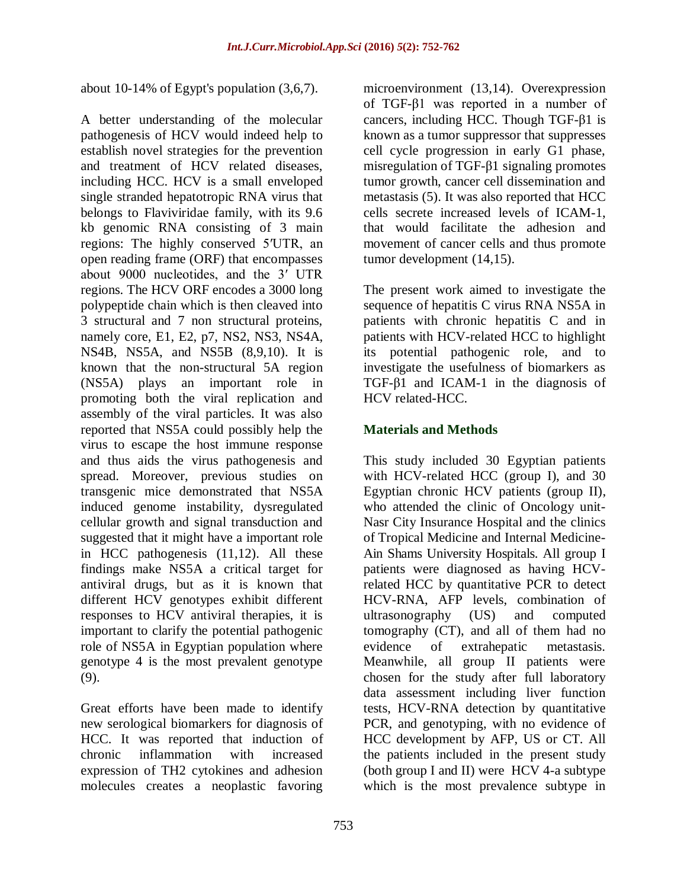about 10-14% of Egypt's population (3,6,7).

A better understanding of the molecular pathogenesis of HCV would indeed help to establish novel strategies for the prevention and treatment of HCV related diseases, including HCC. HCV is a small enveloped single stranded hepatotropic RNA virus that belongs to Flaviviridae family, with its 9.6 kb genomic RNA consisting of 3 main regions: The highly conserved 5′UTR, an open reading frame (ORF) that encompasses about 9000 nucleotides, and the 3′ UTR regions. The HCV ORF encodes a 3000 long polypeptide chain which is then cleaved into 3 structural and 7 non structural proteins, namely core, E1, E2, p7, NS2, NS3, NS4A, NS4B, NS5A, and NS5B (8,9,10). It is known that the non-structural 5A region (NS5A) plays an important role in promoting both the viral replication and assembly of the viral particles. It was also reported that NS5A could possibly help the virus to escape the host immune response and thus aids the virus pathogenesis and spread. Moreover, previous studies on transgenic mice demonstrated that NS5A induced genome instability, dysregulated cellular growth and signal transduction and suggested that it might have a important role in HCC pathogenesis (11,12). All these findings make NS5A a critical target for antiviral drugs, but as it is known that different HCV genotypes exhibit different responses to HCV antiviral therapies, it is important to clarify the potential pathogenic role of NS5A in Egyptian population where genotype 4 is the most prevalent genotype (9).

Great efforts have been made to identify new serological biomarkers for diagnosis of HCC. It was reported that induction of chronic inflammation with increased expression of TH2 cytokines and adhesion molecules creates a neoplastic favoring

microenvironment (13,14). Overexpression of TGF-β1 was reported in a number of cancers, including HCC. Though TGF-β1 is known as a tumor suppressor that suppresses cell cycle progression in early G1 phase, misregulation of TGF-β1 signaling promotes tumor growth, cancer cell dissemination and metastasis (5). It was also reported that HCC cells secrete increased levels of ICAM-1, that would facilitate the adhesion and movement of cancer cells and thus promote tumor development (14,15).

The present work aimed to investigate the sequence of hepatitis C virus RNA NS5A in patients with chronic hepatitis C and in patients with HCV-related HCC to highlight its potential pathogenic role, and to investigate the usefulness of biomarkers as TGF-β1 and ICAM-1 in the diagnosis of HCV related-HCC.

#### **Materials and Methods**

This study included 30 Egyptian patients with HCV-related HCC (group I), and 30 Egyptian chronic HCV patients (group II), who attended the clinic of Oncology unit-Nasr City Insurance Hospital and the clinics of Tropical Medicine and Internal Medicine-Ain Shams University Hospitals. All group I patients were diagnosed as having HCVrelated HCC by quantitative PCR to detect HCV-RNA, AFP levels, combination of ultrasonography (US) and computed tomography (CT), and all of them had no evidence of extrahepatic metastasis. Meanwhile, all group II patients were chosen for the study after full laboratory data assessment including liver function tests, HCV-RNA detection by quantitative PCR, and genotyping, with no evidence of HCC development by AFP, US or CT. All the patients included in the present study (both group I and II) were HCV 4-a subtype which is the most prevalence subtype in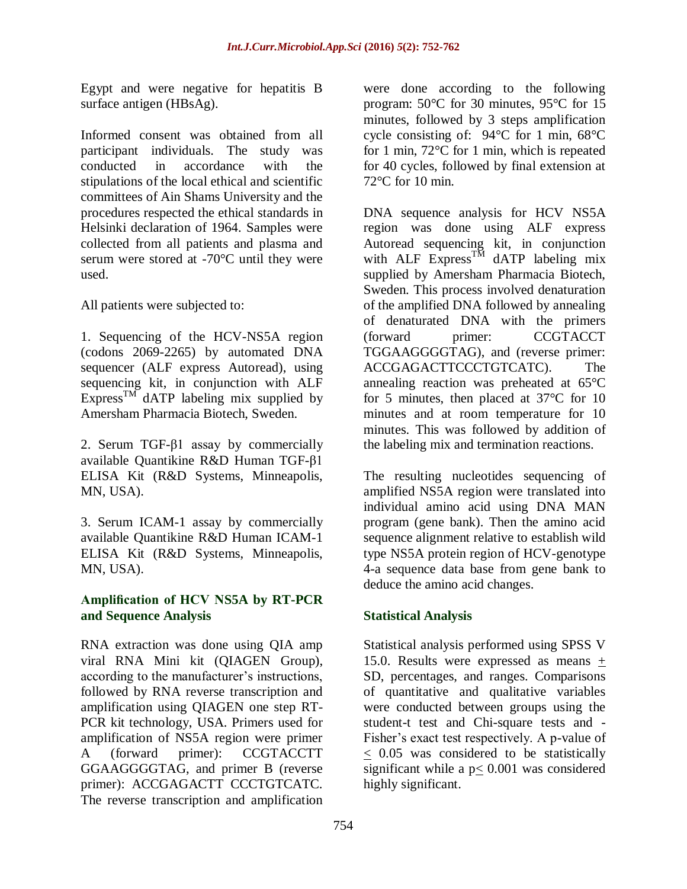Egypt and were negative for hepatitis B surface antigen (HBsAg).

Informed consent was obtained from all participant individuals. The study was conducted in accordance with the stipulations of the local ethical and scientific committees of Ain Shams University and the procedures respected the ethical standards in Helsinki declaration of 1964. Samples were collected from all patients and plasma and serum were stored at -70°C until they were used.

All patients were subjected to:

1. Sequencing of the HCV-NS5A region (codons 2069-2265) by automated DNA sequencer (ALF express Autoread), using sequencing kit, in conjunction with ALF Express<sup>TM</sup> dATP labeling mix supplied by Amersham Pharmacia Biotech, Sweden.

2. Serum TGF-β1 assay by commercially available Quantikine R&D Human TGF-β1 ELISA Kit (R&D Systems, Minneapolis, MN, USA).

3. Serum ICAM-1 assay by commercially available Quantikine R&D Human ICAM-1 ELISA Kit (R&D Systems, Minneapolis, MN, USA).

#### **Amplification of HCV NS5A by RT-PCR and Sequence Analysis**

RNA extraction was done using QIA amp viral RNA Mini kit (QIAGEN Group), according to the manufacturer's instructions, followed by RNA reverse transcription and amplification using QIAGEN one step RT-PCR kit technology, USA. Primers used for amplification of NS5A region were primer A (forward primer): CCGTACCTT GGAAGGGGTAG, and primer B (reverse primer): ACCGAGACTT CCCTGTCATC. The reverse transcription and amplification

were done according to the following program: 50°C for 30 minutes, 95°C for 15 minutes, followed by 3 steps amplification cycle consisting of: 94°C for 1 min, 68°C for 1 min, 72°C for 1 min, which is repeated for 40 cycles, followed by final extension at 72°C for 10 min.

DNA sequence analysis for HCV NS5A region was done using ALF express Autoread sequencing kit, in conjunction with ALF Express<sup>TM</sup> dATP labeling mix supplied by Amersham Pharmacia Biotech, Sweden. This process involved denaturation of the amplified DNA followed by annealing of denaturated DNA with the primers (forward primer: CCGTACCT TGGAAGGGGTAG), and (reverse primer: ACCGAGACTTCCCTGTCATC). The annealing reaction was preheated at 65°C for 5 minutes, then placed at 37°C for 10 minutes and at room temperature for 10 minutes. This was followed by addition of the labeling mix and termination reactions.

The resulting nucleotides sequencing of amplified NS5A region were translated into individual amino acid using DNA MAN program (gene bank). Then the amino acid sequence alignment relative to establish wild type NS5A protein region of HCV-genotype 4-a sequence data base from gene bank to deduce the amino acid changes.

# **Statistical Analysis**

Statistical analysis performed using SPSS V 15.0. Results were expressed as means + SD, percentages, and ranges. Comparisons of quantitative and qualitative variables were conducted between groups using the student-t test and Chi-square tests and - Fisher's exact test respectively. A p-value of  $\leq$  0.05 was considered to be statistically significant while a p< 0.001 was considered highly significant.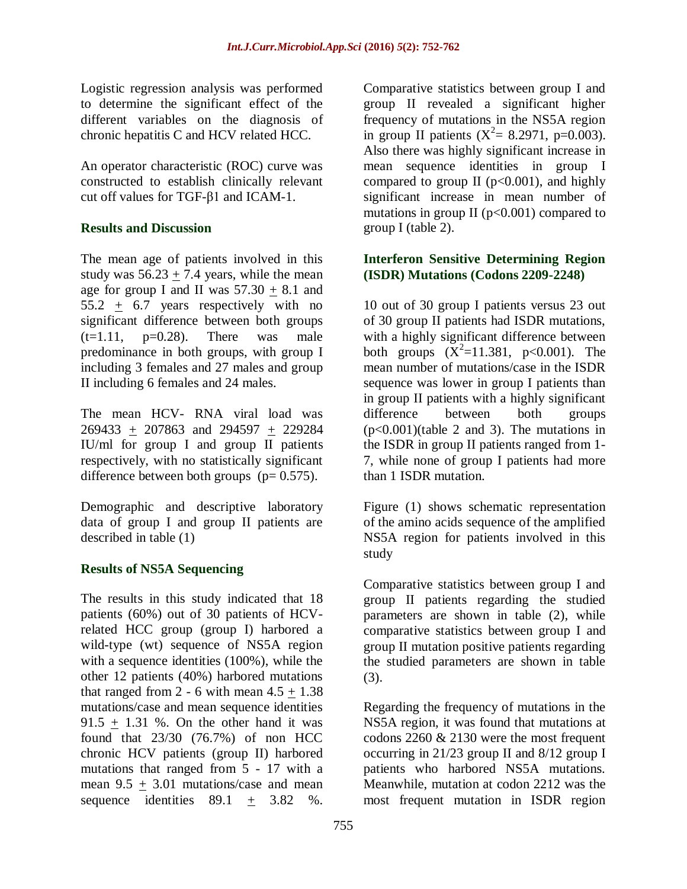Logistic regression analysis was performed to determine the significant effect of the different variables on the diagnosis of chronic hepatitis C and HCV related HCC.

An operator characteristic (ROC) curve was constructed to establish clinically relevant cut off values for TGF-β1 and ICAM-1.

#### **Results and Discussion**

The mean age of patients involved in this study was  $56.23 + 7.4$  years, while the mean age for group I and II was  $57.30 + 8.1$  and 55.2  $\pm$  6.7 years respectively with no significant difference between both groups  $(t=1.11, p=0.28)$ . There was male predominance in both groups, with group I including 3 females and 27 males and group II including 6 females and 24 males.

The mean HCV- RNA viral load was 269433 + 207863 and 294597 + 229284 IU/ml for group I and group II patients respectively, with no statistically significant difference between both groups  $(p= 0.575)$ .

Demographic and descriptive laboratory data of group I and group II patients are described in table (1)

# **Results of NS5A Sequencing**

The results in this study indicated that 18 patients (60%) out of 30 patients of HCVrelated HCC group (group I) harbored a wild-type (wt) sequence of NS5A region with a sequence identities (100%), while the other 12 patients (40%) harbored mutations that ranged from  $2 - 6$  with mean  $4.5 + 1.38$ mutations/case and mean sequence identities  $91.5 + 1.31$  %. On the other hand it was found that 23/30 (76.7%) of non HCC chronic HCV patients (group II) harbored mutations that ranged from 5 - 17 with a mean 9.5 + 3.01 mutations/case and mean sequence identities  $89.1 + 3.82$  %.

Comparative statistics between group I and group II revealed a significant higher frequency of mutations in the NS5A region in group II patients  $(X^2 = 8.2971, p=0.003)$ . Also there was highly significant increase in mean sequence identities in group I compared to group  $II$  ( $p<0.001$ ), and highly significant increase in mean number of mutations in group II ( $p<0.001$ ) compared to group I (table 2).

#### **Interferon Sensitive Determining Region (ISDR) Mutations (Codons 2209-2248)**

10 out of 30 group I patients versus 23 out of 30 group II patients had ISDR mutations, with a highly significant difference between both groups  $(X^2=11.381, p<0.001)$ . The mean number of mutations/case in the ISDR sequence was lower in group I patients than in group II patients with a highly significant difference between both groups (p<0.001)(table 2 and 3). The mutations in the ISDR in group II patients ranged from 1- 7, while none of group I patients had more than 1 ISDR mutation.

Figure (1) shows schematic representation of the amino acids sequence of the amplified NS5A region for patients involved in this study

Comparative statistics between group I and group II patients regarding the studied parameters are shown in table (2), while comparative statistics between group I and group II mutation positive patients regarding the studied parameters are shown in table (3).

Regarding the frequency of mutations in the NS5A region, it was found that mutations at codons 2260 & 2130 were the most frequent occurring in 21/23 group II and 8/12 group I patients who harbored NS5A mutations. Meanwhile, mutation at codon 2212 was the most frequent mutation in ISDR region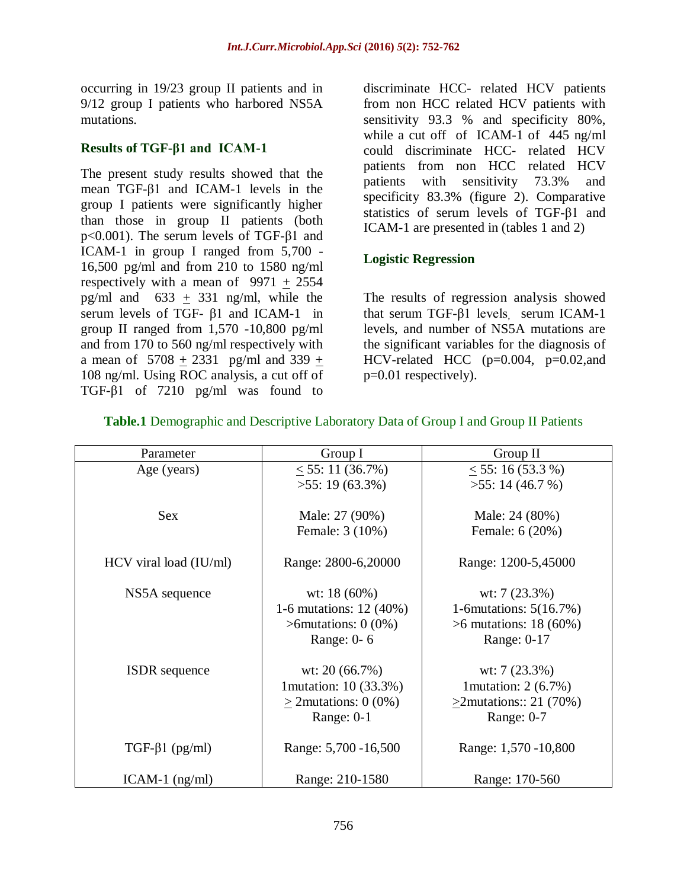occurring in 19/23 group II patients and in 9/12 group I patients who harbored NS5A mutations.

#### **Results of TGF-β1 and ICAM-1**

The present study results showed that the mean TGF-β1 and ICAM-1 levels in the group I patients were significantly higher than those in group II patients (both p<0.001). The serum levels of TGF-β1 and ICAM-1 in group I ranged from 5,700 - 16,500 pg/ml and from 210 to 1580 ng/ml respectively with a mean of  $9971 + 2554$ pg/ml and  $633 + 331$  ng/ml, while the serum levels of TGF- β1 and ICAM-1 in group II ranged from 1,570 -10,800 pg/ml and from 170 to 560 ng/ml respectively with a mean of  $5708 + 2331$  pg/ml and  $339 +$ 108 ng/ml. Using ROC analysis, a cut off of TGF-β1 of 7210 pg/ml was found to

discriminate HCC- related HCV patients from non HCC related HCV patients with sensitivity 93.3 % and specificity 80%, while a cut off of ICAM-1 of 445 ng/ml could discriminate HCC- related HCV patients from non HCC related HCV patients with sensitivity 73.3% and specificity 83.3% (figure 2). Comparative statistics of serum levels of TGF-β1 and ICAM-1 are presented in (tables 1 and 2)

# **Logistic Regression**

The results of regression analysis showed that serum TGF-β1 levels, serum ICAM-1 levels, and number of NS5A mutations are the significant variables for the diagnosis of HCV-related HCC (p=0.004, p=0.02,and p=0.01 respectively).

| Parameter                | Group I                    | Group II                  |  |  |
|--------------------------|----------------------------|---------------------------|--|--|
| Age (years)              | < 55: 11 (36.7%)           | $<$ 55: 16 (53.3 %)       |  |  |
|                          | $>55:19(63.3\%)$           | $>55$ : 14 (46.7 %)       |  |  |
|                          |                            |                           |  |  |
| <b>Sex</b>               | Male: 27 (90%)             | Male: 24 (80%)            |  |  |
|                          | Female: 3 (10%)            | Female: 6 (20%)           |  |  |
|                          |                            |                           |  |  |
| $HCV$ viral load (IU/ml) | Range: 2800-6,20000        | Range: 1200-5,45000       |  |  |
|                          |                            |                           |  |  |
| NS5A sequence            | wt: $18(60\%)$             | wt: $7(23.3\%)$           |  |  |
|                          | 1-6 mutations: 12 (40%)    | 1-6 mutations: $5(16.7%)$ |  |  |
|                          | $\geq$ 6 mutations: 0 (0%) | $>6$ mutations: 18 (60%)  |  |  |
|                          | Range: 0-6                 | Range: 0-17               |  |  |
|                          |                            |                           |  |  |
| <b>ISDR</b> sequence     | wt: $20(66.7%)$            | wt: $7(23.3\%)$           |  |  |
|                          | 1 mutation: 10 (33.3%)     | 1 mutation: $2(6.7\%)$    |  |  |
|                          | $>2$ mutations: 0 (0%)     | $>2$ mutations:: 21 (70%) |  |  |
|                          | Range: $0-1$               | Range: $0-7$              |  |  |
|                          |                            |                           |  |  |
| $TGF-\beta1 (pg/ml)$     | Range: 5,700 - 16,500      | Range: 1,570 - 10,800     |  |  |
|                          |                            |                           |  |  |
| $ICAM-1$ (ng/ml)         | Range: 210-1580            | Range: 170-560            |  |  |

#### **Table.1** Demographic and Descriptive Laboratory Data of Group I and Group II Patients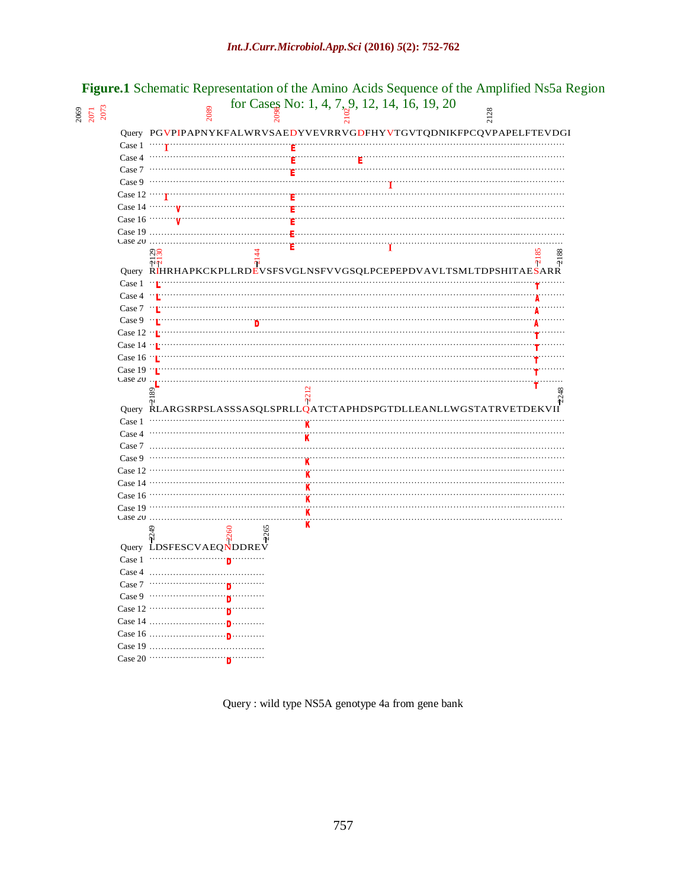| 2069<br>207<br>2071 |                                       | 2089                                      |     | for Cases No: 1, 4, 7, 9, 12, 14, 16, 19, 20 | $\frac{8}{3}$                                                      |  |
|---------------------|---------------------------------------|-------------------------------------------|-----|----------------------------------------------|--------------------------------------------------------------------|--|
|                     |                                       |                                           |     |                                              | Query PGVPIPAPNYKFALWRVSAEDYVEVRRVGDFHYVTGVTQDNIKFPCQVPAPELFTEVDGI |  |
|                     | Case $1 \cdots \cdots$                |                                           |     |                                              |                                                                    |  |
|                     | Case $4$ $\cdots$                     |                                           |     |                                              |                                                                    |  |
|                     | Case 7                                | $\cdots$                                  |     |                                              |                                                                    |  |
|                     | Case $9 \cdots$                       |                                           |     |                                              |                                                                    |  |
|                     | Case 12 $\cdots$ <sup>T</sup>         |                                           |     |                                              |                                                                    |  |
|                     |                                       | Case 14 $\cdots \cdots \cdots \mathbf{v}$ |     |                                              |                                                                    |  |
|                     | Case $16 \cdots$                      |                                           |     |                                              |                                                                    |  |
|                     |                                       | Case $19$                                 |     |                                              |                                                                    |  |
|                     | Case $20$                             |                                           |     |                                              |                                                                    |  |
|                     |                                       | ನಿನಿ<br>ψN                                | 4   |                                              | జ<br>88<br>öή<br>Ψ                                                 |  |
|                     |                                       |                                           |     |                                              | Query RIHRHAPKCKPLLRDEVSFSVGLNSFVVGSQLPCEPEPDVAVLTSMLTDPSHITAESARR |  |
|                     |                                       | Case $1 \cdots$ $\mathbb{L}$              |     |                                              |                                                                    |  |
|                     |                                       | Case $4 \cdot \cdot \cdot$                |     |                                              |                                                                    |  |
|                     | Case $7 \cdots$ $\mathbb{L}^{\cdots}$ |                                           |     |                                              |                                                                    |  |
|                     |                                       | Case $9 \cdot \mathbf{r}$                 |     |                                              |                                                                    |  |
|                     | Case $12 - 1$                         |                                           |     |                                              |                                                                    |  |
|                     | Case 14 $\cdot$ L                     |                                           |     |                                              |                                                                    |  |
|                     | Case $16 \cdot L$                     |                                           |     |                                              |                                                                    |  |
|                     |                                       | Case 19 $\cdots$                          |     |                                              |                                                                    |  |
|                     | Case $20$ .                           |                                           |     |                                              |                                                                    |  |
|                     |                                       | S.                                        |     | $\overline{\mathbf{c}}$<br>S                 |                                                                    |  |
|                     |                                       |                                           |     |                                              | Query RLARGSRPSLASSSASQLSPRLLQATCTAPHDSPGTDLLEANLLWGSTATRVETDEKVII |  |
|                     | Case 1                                |                                           |     |                                              |                                                                    |  |
|                     |                                       | .                                         |     |                                              |                                                                    |  |
|                     | Case 4                                |                                           |     |                                              |                                                                    |  |
|                     | Case 7                                |                                           |     |                                              |                                                                    |  |
|                     | Case 9                                |                                           |     |                                              |                                                                    |  |
|                     | Case $12 \cdots$                      |                                           |     |                                              |                                                                    |  |
|                     | Case $14$ ……                          |                                           |     |                                              |                                                                    |  |
|                     | Case $16 \cdots$                      |                                           |     |                                              |                                                                    |  |
|                     | Case $19 \cdots$                      |                                           |     | $\overline{\mathbf{K}}$                      |                                                                    |  |
|                     | Case $20$                             |                                           |     | ĸ                                            |                                                                    |  |
|                     |                                       | ₩                                         | 265 | K                                            |                                                                    |  |
|                     |                                       | Query LDSFESCVAEQNDDREV                   |     |                                              |                                                                    |  |
|                     | Case 1                                |                                           |     |                                              |                                                                    |  |
|                     | Case 4                                | $\cdot \cdot \cdot$                       |     |                                              |                                                                    |  |
|                     | Case 7                                |                                           |     |                                              |                                                                    |  |
|                     | Case $9 \cdots$                       |                                           |     |                                              |                                                                    |  |
|                     |                                       |                                           |     |                                              |                                                                    |  |
|                     |                                       |                                           |     |                                              |                                                                    |  |
|                     | Case $19$                             | Case 16                                   |     |                                              |                                                                    |  |

# **Figure.1** Schematic Representation of the Amino Acids Sequence of the Amplified Ns5a Region

Query : wild type NS5A genotype 4a from gene bank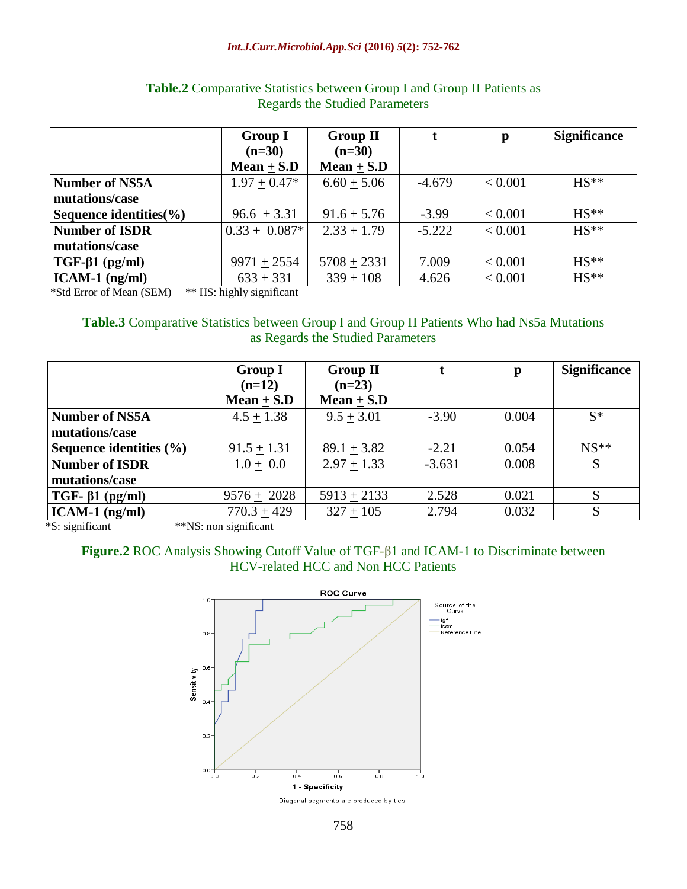#### *Int.J.Curr.Microbiol.App.Sci* **(2016)** *5***(2): 752-762**

|                        | <b>Group I</b>    | <b>Group II</b> |          | $\mathbf{p}$ | <b>Significance</b> |
|------------------------|-------------------|-----------------|----------|--------------|---------------------|
|                        | $(n=30)$          | $(n=30)$        |          |              |                     |
|                        | Mean $\pm$ S.D    | Mean $\pm$ S.D  |          |              |                     |
| Number of NS5A         | $1.97 + 0.47*$    | $6.60 + 5.06$   | $-4.679$ | < 0.001      | $HS**$              |
| mutations/case         |                   |                 |          |              |                     |
| Sequence identities(%) | $96.6 + 3.31$     | $91.6 + 5.76$   | $-3.99$  | < 0.001      | $HS**$              |
| Number of ISDR         | $0.33 \pm 0.087*$ | $2.33 + 1.79$   | $-5.222$ | < 0.001      | $HS**$              |
| mutations/case         |                   |                 |          |              |                     |
| $TGF-\beta1 (pg/ml)$   | $9971 + 2554$     | $5708 + 2331$   | 7.009    | < 0.001      | $HS**$              |
| $ICAM-1$ (ng/ml)       | $633 + 331$       | $339 + 108$     | 4.626    | < 0.001      | $HS**$              |

#### Table.2 Comparative Statistics between Group I and Group II Patients as Regards the Studied Parameters

\*Std Error of Mean (SEM) \*\* HS: highly significant

#### **Table.3** Comparative Statistics between Group I and Group II Patients Who had Ns5a Mutations as Regards the Studied Parameters

| <b>Group I</b><br>$(n=12)$ | <b>Group II</b><br>$(n=23)$ |          | p     | <b>Significance</b> |
|----------------------------|-----------------------------|----------|-------|---------------------|
| Mean $\pm$ S.D             | Mean $\pm$ S.D              |          |       |                     |
| $4.5 + 1.38$               | $9.5 + 3.01$                | $-3.90$  | 0.004 | $S^*$               |
|                            |                             |          |       |                     |
| $91.5 + 1.31$              | $89.1 + 3.82$               | $-2.21$  | 0.054 | $NS**$              |
| $1.0 + 0.0$                | $2.97 + 1.33$               | $-3.631$ | 0.008 | S                   |
|                            |                             |          |       |                     |
| $9576 + 2028$              | $5913 + 2133$               | 2.528    | 0.021 |                     |
| $770.3 + 429$              | $327 + 105$                 | 2.794    | 0.032 | S                   |
|                            |                             |          |       |                     |

\*S: significant \*\*NS: non significant

#### **Figure.2** ROC Analysis Showing Cutoff Value of TGF-β1 and ICAM-1 to Discriminate between HCV-related HCC and Non HCC Patients

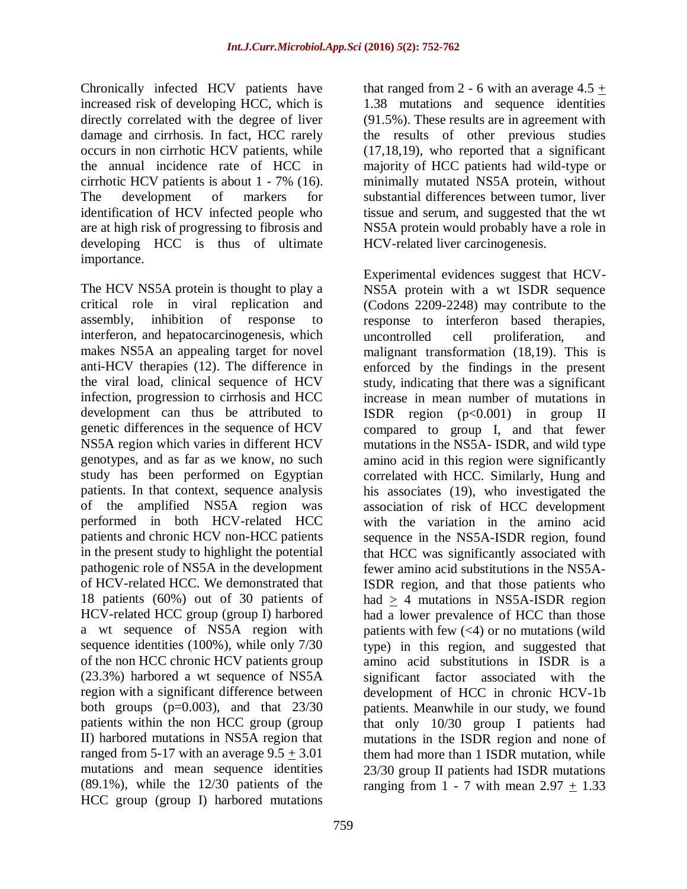Chronically infected HCV patients have increased risk of developing HCC, which is directly correlated with the degree of liver damage and cirrhosis. In fact, HCC rarely occurs in non cirrhotic HCV patients, while the annual incidence rate of HCC in cirrhotic HCV patients is about 1 - 7% (16). The development of markers for identification of HCV infected people who are at high risk of progressing to fibrosis and developing HCC is thus of ultimate importance.

The HCV NS5A protein is thought to play a critical role in viral replication and assembly, inhibition of response to interferon, and hepatocarcinogenesis, which makes NS5A an appealing target for novel anti-HCV therapies (12). The difference in the viral load, clinical sequence of HCV infection, progression to cirrhosis and HCC development can thus be attributed to genetic differences in the sequence of HCV NS5A region which varies in different HCV genotypes, and as far as we know, no such study has been performed on Egyptian patients. In that context, sequence analysis of the amplified NS5A region was performed in both HCV-related HCC patients and chronic HCV non-HCC patients in the present study to highlight the potential pathogenic role of NS5A in the development of HCV-related HCC. We demonstrated that 18 patients (60%) out of 30 patients of HCV-related HCC group (group I) harbored a wt sequence of NS5A region with sequence identities (100%), while only 7/30 of the non HCC chronic HCV patients group (23.3%) harbored a wt sequence of NS5A region with a significant difference between both groups  $(p=0.003)$ , and that  $23/30$ patients within the non HCC group (group II) harbored mutations in NS5A region that ranged from 5-17 with an average  $9.5 \pm 3.01$ mutations and mean sequence identities (89.1%), while the 12/30 patients of the HCC group (group I) harbored mutations

759

that ranged from 2 - 6 with an average  $4.5 +$ 1.38 mutations and sequence identities (91.5%). These results are in agreement with the results of other previous studies (17,18,19), who reported that a significant majority of HCC patients had wild-type or minimally mutated NS5A protein, without substantial differences between tumor, liver tissue and serum, and suggested that the wt NS5A protein would probably have a role in HCV-related liver carcinogenesis.

Experimental evidences suggest that HCV-NS5A protein with a wt ISDR sequence (Codons 2209-2248) may contribute to the response to interferon based therapies, uncontrolled cell proliferation, and malignant transformation (18,19). This is enforced by the findings in the present study, indicating that there was a significant increase in mean number of mutations in ISDR region  $(p<0.001)$  in group II compared to group I, and that fewer mutations in the NS5A- ISDR, and wild type amino acid in this region were significantly correlated with HCC. Similarly, Hung and his associates (19), who investigated the association of risk of HCC development with the variation in the amino acid sequence in the NS5A-ISDR region, found that HCC was significantly associated with fewer amino acid substitutions in the NS5A-ISDR region, and that those patients who had > 4 mutations in NS5A-ISDR region had a lower prevalence of HCC than those patients with few  $\left(\langle 4 \rangle\right)$  or no mutations (wild type) in this region, and suggested that amino acid substitutions in ISDR is a significant factor associated with the development of HCC in chronic HCV-1b patients. Meanwhile in our study, we found that only 10/30 group I patients had mutations in the ISDR region and none of them had more than 1 ISDR mutation, while 23/30 group II patients had ISDR mutations ranging from  $1 - 7$  with mean  $2.97 + 1.33$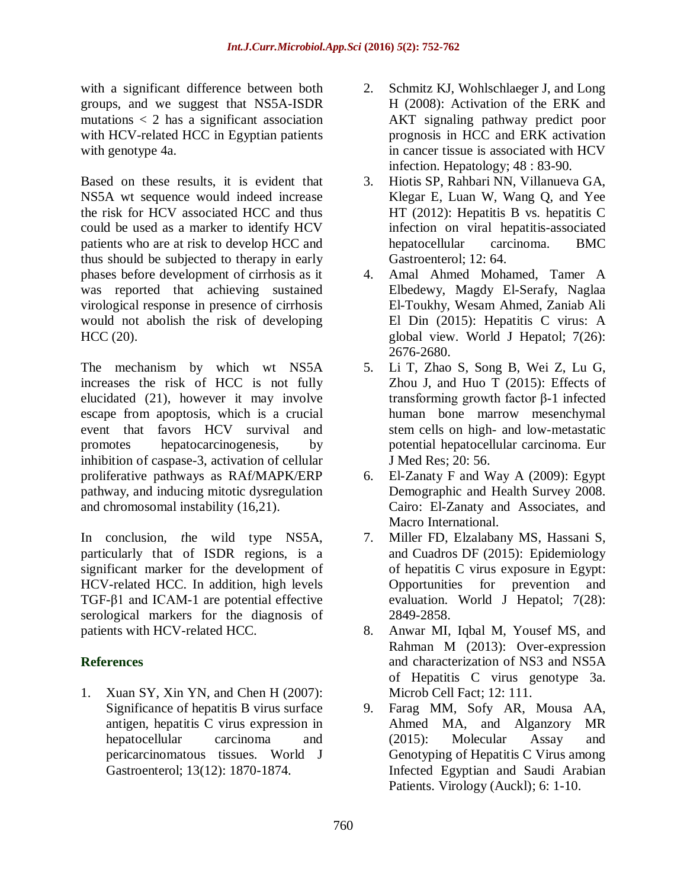with a significant difference between both groups, and we suggest that NS5A-ISDR mutations < 2 has a significant association with HCV-related HCC in Egyptian patients with genotype 4a.

Based on these results, it is evident that NS5A wt sequence would indeed increase the risk for HCV associated HCC and thus could be used as a marker to identify HCV patients who are at risk to develop HCC and thus should be subjected to therapy in early phases before development of cirrhosis as it was reported that achieving sustained virological response in presence of cirrhosis would not abolish the risk of developing HCC (20).

The mechanism by which wt NS5A increases the risk of HCC is not fully elucidated (21), however it may involve escape from apoptosis, which is a crucial event that favors HCV survival and promotes hepatocarcinogenesis, by inhibition of caspase-3, activation of cellular proliferative pathways as RAf/MAPK/ERP pathway, and inducing mitotic dysregulation and chromosomal instability (16,21).

In conclusion, *t*he wild type NS5A, particularly that of ISDR regions, is a significant marker for the development of HCV-related HCC. In addition, high levels TGF-β1 and ICAM-1 are potential effective serological markers for the diagnosis of patients with HCV-related HCC.

# **References**

1. Xuan SY, Xin YN, and Chen H (2007): Significance of hepatitis B virus surface antigen, hepatitis C virus expression in hepatocellular carcinoma and pericarcinomatous tissues. World J Gastroenterol; 13(12): 1870-1874.

- 2. Schmitz KJ, Wohlschlaeger J, and Long H (2008): Activation of the ERK and AKT signaling pathway predict poor prognosis in HCC and ERK activation in cancer tissue is associated with HCV infection. Hepatology; 48 : 83-90.
- 3. Hiotis SP, Rahbari NN, Villanueva GA, Klegar E, Luan W, Wang Q, and Yee HT (2012): Hepatitis B vs. hepatitis C infection on viral hepatitis-associated hepatocellular carcinoma. [BMC](http://www.ncbi.nlm.nih.gov/pubmed/22681852)  [Gastroenterol;](http://www.ncbi.nlm.nih.gov/pubmed/22681852) 12: 64.
- 4. Amal Ahmed Mohamed, Tamer A Elbedewy, Magdy El-Serafy, Naglaa El-Toukhy, Wesam Ahmed, Zaniab Ali El Din (2015): Hepatitis C virus: A global view. World J Hepatol; 7(26): 2676-2680.
- 5. Li T, Zhao S, Song B, [Wei Z,](http://www.ncbi.nlm.nih.gov/pubmed/?term=Wei%20Z%5BAuthor%5D&cauthor=true&cauthor_uid=26003220) [Lu G,](http://www.ncbi.nlm.nih.gov/pubmed/?term=Lu%20G%5BAuthor%5D&cauthor=true&cauthor_uid=26003220) [Zhou J,](http://www.ncbi.nlm.nih.gov/pubmed/?term=Zhou%20J%5BAuthor%5D&cauthor=true&cauthor_uid=26003220) and [Huo T](http://www.ncbi.nlm.nih.gov/pubmed/?term=Huo%20T%5BAuthor%5D&cauthor=true&cauthor_uid=26003220) (2015): [Effects of](http://www.ncbi.nlm.nih.gov/pubmed/26003220)  [transforming growth factor β-1 infected](http://www.ncbi.nlm.nih.gov/pubmed/26003220)  [human bone marrow mesenchymal](http://www.ncbi.nlm.nih.gov/pubmed/26003220)  [stem cells on high-](http://www.ncbi.nlm.nih.gov/pubmed/26003220) and low-metastatic [potential hepatocellular carcinoma.](http://www.ncbi.nlm.nih.gov/pubmed/26003220) Eur J Med Res; 20: 56.
- 6. El-Zanaty F and Way A (2009): Egypt Demographic and Health Survey 2008. Cairo: El-Zanaty and Associates, and Macro International.
- 7. [Miller FD,](http://www.ncbi.nlm.nih.gov/pubmed/?term=Miller%20FD%5BAuthor%5D&cauthor=true&cauthor_uid=26668697) [Elzalabany MS,](http://www.ncbi.nlm.nih.gov/pubmed/?term=Elzalabany%20MS%5BAuthor%5D&cauthor=true&cauthor_uid=26668697) [Hassani S,](http://www.ncbi.nlm.nih.gov/pubmed/?term=Hassani%20S%5BAuthor%5D&cauthor=true&cauthor_uid=26668697) and [Cuadros DF](http://www.ncbi.nlm.nih.gov/pubmed/?term=Cuadros%20DF%5BAuthor%5D&cauthor=true&cauthor_uid=26668697) (2015): Epidemiology of hepatitis C virus exposure in Egypt: Opportunities for prevention and evaluation. [World J Hepatol;](http://www.ncbi.nlm.nih.gov/pubmed/?term=Epidemiology+of+hepatitis+C+virus+exposure+in+Egypt%3A+Opportunities+for+prevention+and+evaluation) 7(28): 2849-2858.
- 8. [Anwar MI,](http://www.ncbi.nlm.nih.gov/pubmed/?term=Anwar%20MI%5BAuthor%5D&cauthor=true&cauthor_uid=24238670) [Iqbal M,](http://www.ncbi.nlm.nih.gov/pubmed/?term=Iqbal%20M%5BAuthor%5D&cauthor=true&cauthor_uid=24238670) [Yousef MS,](http://www.ncbi.nlm.nih.gov/pubmed/?term=Yousef%20MS%5BAuthor%5D&cauthor=true&cauthor_uid=24238670) and [Rahman M](http://www.ncbi.nlm.nih.gov/pubmed/?term=Rahman%20M%5BAuthor%5D&cauthor=true&cauthor_uid=24238670) (2013): Over-expression and characterization of NS3 and NS5A of Hepatitis C virus genotype 3a. [Microb Cell Fact;](http://www.ncbi.nlm.nih.gov/pubmed/?term=over-expression+and+characteriation+of+NS3+and+NS5A+of+hepatitis+C+virus+genotype+3a) 12: 111.
- 9. [Farag MM,](http://www.ncbi.nlm.nih.gov/pubmed/?term=Farag%20MM%5BAuthor%5D&cauthor=true&cauthor_uid=26512201) [Sofy AR,](http://www.ncbi.nlm.nih.gov/pubmed/?term=Sofy%20AR%5BAuthor%5D&cauthor=true&cauthor_uid=26512201) [Mousa AA,](http://www.ncbi.nlm.nih.gov/pubmed/?term=Mousa%20AA%5BAuthor%5D&cauthor=true&cauthor_uid=26512201) [Ahmed MA,](http://www.ncbi.nlm.nih.gov/pubmed/?term=Ahmed%20MA%5BAuthor%5D&cauthor=true&cauthor_uid=26512201) and [Alganzory MR](http://www.ncbi.nlm.nih.gov/pubmed/?term=Alganzory%20MR%5BAuthor%5D&cauthor=true&cauthor_uid=26512201) (2015): Molecular Assay and Genotyping of Hepatitis C Virus among Infected Egyptian and Saudi Arabian Patients. [Virology \(Auckl\);](http://www.ncbi.nlm.nih.gov/pubmed/26512201) 6: 1-10.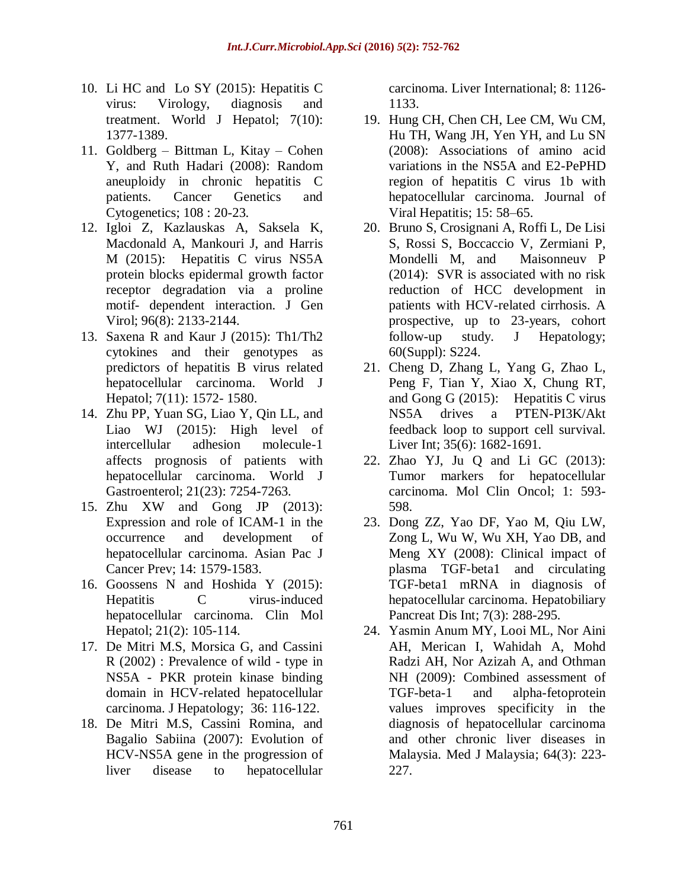- 10. Li HC and Lo SY (2015): [Hepatitis C](http://www.ncbi.nlm.nih.gov/pubmed/26052383)  [virus: Virology, diagnosis and](http://www.ncbi.nlm.nih.gov/pubmed/26052383)  [treatment.](http://www.ncbi.nlm.nih.gov/pubmed/26052383) World J Hepatol; 7(10): 1377-1389.
- 11. Goldberg Bittman L, Kitay Cohen Y, and Ruth Hadari (2008): Random aneuploidy in chronic hepatitis C patients. Cancer Genetics and Cytogenetics; 108 : 20-23.
- 12. [Igloi Z,](http://www.ncbi.nlm.nih.gov/pubmed/?term=Igloi%20Z%5BAuthor%5D&cauthor=true&cauthor_uid=25872741) [Kazlauskas A,](http://www.ncbi.nlm.nih.gov/pubmed/?term=Kazlauskas%20A%5BAuthor%5D&cauthor=true&cauthor_uid=25872741) [Saksela K,](http://www.ncbi.nlm.nih.gov/pubmed/?term=Saksela%20K%5BAuthor%5D&cauthor=true&cauthor_uid=25872741) [Macdonald A,](http://www.ncbi.nlm.nih.gov/pubmed/?term=Macdonald%20A%5BAuthor%5D&cauthor=true&cauthor_uid=25872741) [Mankouri J,](http://www.ncbi.nlm.nih.gov/pubmed/?term=Mankouri%20J%5BAuthor%5D&cauthor=true&cauthor_uid=25872741) and [Harris](http://www.ncbi.nlm.nih.gov/pubmed/?term=Harris%20M%5BAuthor%5D&cauthor=true&cauthor_uid=25872741)  [M](http://www.ncbi.nlm.nih.gov/pubmed/?term=Harris%20M%5BAuthor%5D&cauthor=true&cauthor_uid=25872741) (2015): Hepatitis C virus NS5A protein blocks epidermal growth factor receptor degradation via a proline motif- dependent interaction. [J Gen](http://www.ncbi.nlm.nih.gov/pubmed/?term=Hepatitis+C+virus+NS5A+protein+blocks+epidermal+growth+factor+receptor+degradation+via+a+proline+motif-+dependent+interaction)  [Virol;](http://www.ncbi.nlm.nih.gov/pubmed/?term=Hepatitis+C+virus+NS5A+protein+blocks+epidermal+growth+factor+receptor+degradation+via+a+proline+motif-+dependent+interaction) 96(8): 2133-2144.
- 13. [Saxena R](http://www.ncbi.nlm.nih.gov/pubmed/?term=Saxena%20R%5BAuthor%5D&cauthor=true&cauthor_uid=26085916) and [Kaur J](http://www.ncbi.nlm.nih.gov/pubmed/?term=Kaur%20J%5BAuthor%5D&cauthor=true&cauthor_uid=26085916) (2015): Th1/Th2 cytokines and their genotypes as predictors of hepatitis B virus related hepatocellular carcinoma. [World J](http://www.ncbi.nlm.nih.gov/pubmed/?term=Th1%2FTh2+cytokines+and+their+genotypes+as+predictors+of+hepatitis+B+virus+related+hepatocellular+carcinoma)  [Hepatol;](http://www.ncbi.nlm.nih.gov/pubmed/?term=Th1%2FTh2+cytokines+and+their+genotypes+as+predictors+of+hepatitis+B+virus+related+hepatocellular+carcinoma) 7(11): 1572- 1580.
- 14. [Zhu PP,](http://www.ncbi.nlm.nih.gov/pubmed/?term=Zhu%20PP%5BAuthor%5D&cauthor=true&cauthor_uid=26109813) [Yuan SG,](http://www.ncbi.nlm.nih.gov/pubmed/?term=Yuan%20SG%5BAuthor%5D&cauthor=true&cauthor_uid=26109813) [Liao Y,](http://www.ncbi.nlm.nih.gov/pubmed/?term=Liao%20Y%5BAuthor%5D&cauthor=true&cauthor_uid=26109813) [Qin LL,](http://www.ncbi.nlm.nih.gov/pubmed/?term=Qin%20LL%5BAuthor%5D&cauthor=true&cauthor_uid=26109813) and [Liao WJ](http://www.ncbi.nlm.nih.gov/pubmed/?term=Liao%20WJ%5BAuthor%5D&cauthor=true&cauthor_uid=26109813) (2015): High level of intercellular adhesion molecule-1 affects prognosis of patients with hepatocellular carcinoma. [World J](http://www.ncbi.nlm.nih.gov/pubmed/26109813)  [Gastroenterol;](http://www.ncbi.nlm.nih.gov/pubmed/26109813) 21(23): 7254-7263.
- 15. Zhu XW and Gong JP (2013): Expression and role of ICAM-1 in the occurrence and development of hepatocellular carcinoma. Asian Pac J Cancer Prev; 14: 1579-1583.
- 16. Goossens N and Hoshida Y (2015): Hepatitis C virus-induced hepatocellular carcinoma. Clin Mol Hepatol; 21(2): 105-114.
- 17. De Mitri M.S, Morsica G, and Cassini R (2002) : Prevalence of wild - type in NS5A - PKR protein kinase binding domain in HCV-related hepatocellular carcinoma. J Hepatology; 36: 116-122.
- 18. De Mitri M.S, Cassini Romina, and Bagalio Sabiina (2007): Evolution of HCV-NS5A gene in the progression of liver disease to hepatocellular

carcinoma. Liver International; 8: 1126- 1133.

- 19. [Hung CH,](http://www.ncbi.nlm.nih.gov/pubmed/?term=Hung%20CH%5BAuthor%5D&cauthor=true&cauthor_uid=18088246) [Chen CH,](http://www.ncbi.nlm.nih.gov/pubmed/?term=Chen%20CH%5BAuthor%5D&cauthor=true&cauthor_uid=18088246) [Lee CM,](http://www.ncbi.nlm.nih.gov/pubmed/?term=Lee%20CM%5BAuthor%5D&cauthor=true&cauthor_uid=18088246) [Wu CM,](http://www.ncbi.nlm.nih.gov/pubmed/?term=Wu%20CM%5BAuthor%5D&cauthor=true&cauthor_uid=18088246) [Hu TH,](http://www.ncbi.nlm.nih.gov/pubmed/?term=Hu%20TH%5BAuthor%5D&cauthor=true&cauthor_uid=18088246) [Wang JH,](http://www.ncbi.nlm.nih.gov/pubmed/?term=Wang%20JH%5BAuthor%5D&cauthor=true&cauthor_uid=18088246) [Yen YH,](http://www.ncbi.nlm.nih.gov/pubmed/?term=Yen%20YH%5BAuthor%5D&cauthor=true&cauthor_uid=18088246) and [Lu SN](http://www.ncbi.nlm.nih.gov/pubmed/?term=Lu%20SN%5BAuthor%5D&cauthor=true&cauthor_uid=18088246) (2008): Associations of amino acid variations in the NS5A and E2-PePHD region of hepatitis C virus 1b with hepatocellular carcinoma. Journal of Viral Hepatitis; 15: 58–65.
- 20. Bruno S, Crosignani A, Roffi L, De Lisi S, Rossi S, Boccaccio V, Zermiani P, Mondelli M, and Maisonneuv P (2014): SVR is associated with no risk reduction of HCC development in patients with HCV-related cirrhosis. A prospective, up to 23-years, cohort follow-up study. J Hepatology; 60(Suppl): S224.
- 21. [Cheng D,](http://www.ncbi.nlm.nih.gov/pubmed/?term=Cheng%20D%5BAuthor%5D&cauthor=true&cauthor_uid=25388655) [Zhang L,](http://www.ncbi.nlm.nih.gov/pubmed/?term=Zhang%20L%5BAuthor%5D&cauthor=true&cauthor_uid=25388655) [Yang G,](http://www.ncbi.nlm.nih.gov/pubmed/?term=Yang%20G%5BAuthor%5D&cauthor=true&cauthor_uid=25388655) [Zhao L,](http://www.ncbi.nlm.nih.gov/pubmed/?term=Zhao%20L%5BAuthor%5D&cauthor=true&cauthor_uid=25388655) [Peng F,](http://www.ncbi.nlm.nih.gov/pubmed/?term=Peng%20F%5BAuthor%5D&cauthor=true&cauthor_uid=25388655) [Tian Y,](http://www.ncbi.nlm.nih.gov/pubmed/?term=Tian%20Y%5BAuthor%5D&cauthor=true&cauthor_uid=25388655) [Xiao X,](http://www.ncbi.nlm.nih.gov/pubmed/?term=Xiao%20X%5BAuthor%5D&cauthor=true&cauthor_uid=25388655) [Chung RT,](http://www.ncbi.nlm.nih.gov/pubmed/?term=Chung%20RT%5BAuthor%5D&cauthor=true&cauthor_uid=25388655) and [Gong G](http://www.ncbi.nlm.nih.gov/pubmed/?term=Gong%20G%5BAuthor%5D&cauthor=true&cauthor_uid=25388655) (2015): Hepatitis C virus NS5A drives a PTEN-PI3K/Akt feedback loop to support cell survival. [Liver Int;](http://www.ncbi.nlm.nih.gov/pubmed/?term=Hepatitis+C+virus+NS5A+drives+a+PTEN-PI3K%2FAkt+feedback+loop+to+support+cell+survival) 35(6): 1682-1691.
- 22. Zhao YJ, Ju Q and Li GC (2013): Tumor markers for hepatocellular carcinoma. Mol Clin Oncol; 1: 593- 598.
- 23. [Dong ZZ,](http://www.ncbi.nlm.nih.gov/pubmed/?term=Dong%20ZZ%5BAuthor%5D&cauthor=true&cauthor_uid=18522884) [Yao DF,](http://www.ncbi.nlm.nih.gov/pubmed/?term=Yao%20DF%5BAuthor%5D&cauthor=true&cauthor_uid=18522884) [Yao M,](http://www.ncbi.nlm.nih.gov/pubmed/?term=Yao%20M%5BAuthor%5D&cauthor=true&cauthor_uid=18522884) [Qiu LW,](http://www.ncbi.nlm.nih.gov/pubmed/?term=Qiu%20LW%5BAuthor%5D&cauthor=true&cauthor_uid=18522884) [Zong L,](http://www.ncbi.nlm.nih.gov/pubmed/?term=Zong%20L%5BAuthor%5D&cauthor=true&cauthor_uid=18522884) [Wu W,](http://www.ncbi.nlm.nih.gov/pubmed/?term=Wu%20W%5BAuthor%5D&cauthor=true&cauthor_uid=18522884) [Wu XH,](http://www.ncbi.nlm.nih.gov/pubmed/?term=Wu%20XH%5BAuthor%5D&cauthor=true&cauthor_uid=18522884) [Yao DB,](http://www.ncbi.nlm.nih.gov/pubmed/?term=Yao%20DB%5BAuthor%5D&cauthor=true&cauthor_uid=18522884) and [Meng XY](http://www.ncbi.nlm.nih.gov/pubmed/?term=Meng%20XY%5BAuthor%5D&cauthor=true&cauthor_uid=18522884) (2008): Clinical impact of plasma TGF-beta1 and circulating TGF-beta1 mRNA in diagnosis of hepatocellular carcinoma. [Hepatobiliary](http://www.ncbi.nlm.nih.gov/pubmed/18522884)  [Pancreat Dis Int;](http://www.ncbi.nlm.nih.gov/pubmed/18522884) 7(3): 288-295.
- 24. [Yasmin Anum MY,](http://www.ncbi.nlm.nih.gov/pubmed/?term=Yasmin%20Anum%20MY%5BAuthor%5D&cauthor=true&cauthor_uid=20527273) [Looi ML,](http://www.ncbi.nlm.nih.gov/pubmed/?term=Looi%20ML%5BAuthor%5D&cauthor=true&cauthor_uid=20527273) [Nor Aini](http://www.ncbi.nlm.nih.gov/pubmed/?term=Nor%20Aini%20AH%5BAuthor%5D&cauthor=true&cauthor_uid=20527273)  [AH,](http://www.ncbi.nlm.nih.gov/pubmed/?term=Nor%20Aini%20AH%5BAuthor%5D&cauthor=true&cauthor_uid=20527273) [Merican I,](http://www.ncbi.nlm.nih.gov/pubmed/?term=Merican%20I%5BAuthor%5D&cauthor=true&cauthor_uid=20527273) [Wahidah A,](http://www.ncbi.nlm.nih.gov/pubmed/?term=Wahidah%20A%5BAuthor%5D&cauthor=true&cauthor_uid=20527273) [Mohd](http://www.ncbi.nlm.nih.gov/pubmed/?term=Mohd%20Radzi%20AH%5BAuthor%5D&cauthor=true&cauthor_uid=20527273)  [Radzi AH,](http://www.ncbi.nlm.nih.gov/pubmed/?term=Mohd%20Radzi%20AH%5BAuthor%5D&cauthor=true&cauthor_uid=20527273) [Nor Azizah A,](http://www.ncbi.nlm.nih.gov/pubmed/?term=Nor%20Azizah%20A%5BAuthor%5D&cauthor=true&cauthor_uid=20527273) and [Othman](http://www.ncbi.nlm.nih.gov/pubmed/?term=Othman%20NH%5BAuthor%5D&cauthor=true&cauthor_uid=20527273)  [NH](http://www.ncbi.nlm.nih.gov/pubmed/?term=Othman%20NH%5BAuthor%5D&cauthor=true&cauthor_uid=20527273) (2009): Combined assessment of TGF-beta-1 and alpha-fetoprotein values improves specificity in the diagnosis of hepatocellular carcinoma and other chronic liver diseases in Malaysia. [Med J Malaysia;](http://www.ncbi.nlm.nih.gov/pubmed/20527273) 64(3): 223- 227.